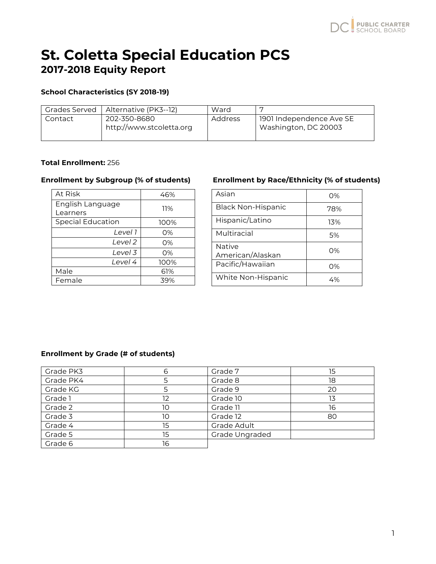# **St. Coletta Special Education PCS 2017-2018 Equity Report**

# **School Characteristics (SY 2018-19)**

| <b>Grades Served</b> | Alternative (PK3--12)                    | Ward    |                                                  |
|----------------------|------------------------------------------|---------|--------------------------------------------------|
| Contact              | 202-350-8680<br>http://www.stcoletta.org | Address | 1901 Independence Ave SE<br>Washington, DC 20003 |

# **Total Enrollment:** 256

| At Risk                      | 46%   |
|------------------------------|-------|
| English Language<br>Learners | 11%   |
| Special Education            | 100%  |
| Level 1                      | 0%    |
| Level 2                      | $O\%$ |
| Level 3                      | 0%    |
| Level 4                      | 100%  |
| Male                         | 61%   |
| Female                       | 39%   |

## **Enrollment by Subgroup (% of students) Enrollment by Race/Ethnicity (% of students)**

| Asian                             | O%  |
|-----------------------------------|-----|
| <b>Black Non-Hispanic</b>         | 78% |
| Hispanic/Latino                   | 13% |
| Multiracial                       | .5% |
| <b>Native</b><br>American/Alaskan | O%  |
| Pacific/Hawaiian                  | O%  |
| White Non-Hispanic                | 4%  |

### **Enrollment by Grade (# of students)**

| Grade PK3 | 6  | Grade 7        | 15 |
|-----------|----|----------------|----|
| Grade PK4 |    | Grade 8        | 18 |
| Grade KG  |    | Grade 9        | 20 |
| Grade 1   | 12 | Grade 10       | 13 |
| Grade 2   | 10 | Grade 11       | 16 |
| Grade 3   | 10 | Grade 12       | 80 |
| Grade 4   | 15 | Grade Adult    |    |
| Grade 5   | 15 | Grade Ungraded |    |
| Grade 6   | 16 |                |    |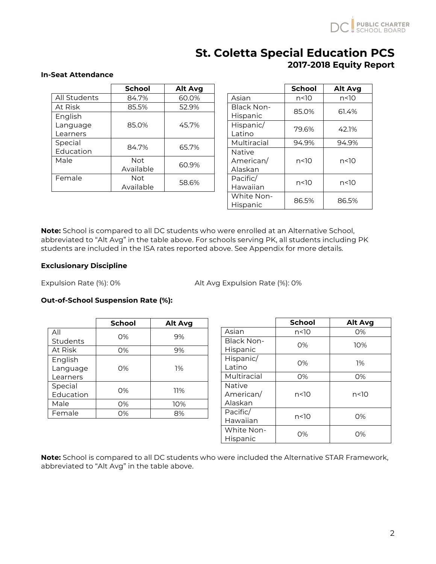

# **St. Coletta Special Education PCS 2017-2018 Equity Report**

### **In-Seat Attendance**

|              | <b>School</b> | <b>Alt Avg</b> |
|--------------|---------------|----------------|
| All Students | 84.7%         | 60.0%          |
| At Risk      | 85.5%         | 52.9%          |
| English      |               |                |
| Language     | 85.0%         | 45.7%          |
| Learners     |               |                |
| Special      | 84.7%         | 65.7%          |
| Education    |               |                |
| Male         | <b>Not</b>    | 60.9%          |
|              | Available     |                |
| Female       | Not           | 58.6%          |
|              | Available     |                |

|               | <b>School</b> | <b>Alt Avg</b> |
|---------------|---------------|----------------|
| Asian         | n<10          | n<10           |
| Black Non-    | 85.0%         | 61.4%          |
| Hispanic      |               |                |
| Hispanic/     | 79.6%         | 42.1%          |
| Latino        |               |                |
| Multiracial   | 94.9%         | 94.9%          |
| <b>Native</b> |               |                |
| American/     | n<10          | n<10           |
| Alaskan       |               |                |
| Pacific/      | n<10          | n<10           |
| Hawaiian      |               |                |
| White Non-    | 86.5%         | 86.5%          |
| Hispanic      |               |                |

**Note:** School is compared to all DC students who were enrolled at an Alternative School, abbreviated to "Alt Avg" in the table above. For schools serving PK, all students including PK students are included in the ISA rates reported above. See Appendix for more details.

### **Exclusionary Discipline**

Expulsion Rate (%): 0% <br>Alt Avg Expulsion Rate (%): 0%

### **Out-of-School Suspension Rate (%):**

|           | <b>School</b> | Alt Avg |
|-----------|---------------|---------|
| All       | $O\%$         | 9%      |
| Students  |               |         |
| At Risk   | 0%            | 9%      |
| English   |               |         |
| Language  | 0%            | 1%      |
| Learners  |               |         |
| Special   | 0%            | 11%     |
| Education |               |         |
| Male      | 0%            | 10%     |
| Female    | 0%            | 8%      |

|                                       | <b>School</b> | <b>Alt Avg</b> |
|---------------------------------------|---------------|----------------|
| Asian                                 | n<10          | 0%             |
| <b>Black Non-</b><br>Hispanic         | 0%            | 10%            |
| Hispanic/<br>Latino                   | $O\%$         | 1%             |
| Multiracial                           | 0%            | 0%             |
| <b>Native</b><br>American/<br>Alaskan | n<10          | n<10           |
| Pacific/<br>Hawaiian                  | n<10          | 0%             |
| White Non-<br>Hispanic                | 0%            | 0%             |

**Note:** School is compared to all DC students who were included the Alternative STAR Framework, abbreviated to "Alt Avg" in the table above.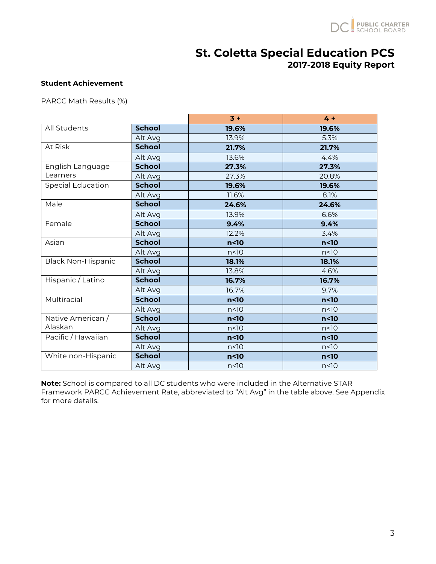

# **St. Coletta Special Education PCS 2017-2018 Equity Report**

### **Student Achievement**

PARCC Math Results (%)

|                           |               | $3 +$           | $4 +$           |
|---------------------------|---------------|-----------------|-----------------|
| All Students              | <b>School</b> | 19.6%           | 19.6%           |
|                           | Alt Avg       | 13.9%           | 5.3%            |
| At Risk                   | <b>School</b> | 21.7%           | 21.7%           |
|                           | Alt Avg       | 13.6%           | 4.4%            |
| English Language          | <b>School</b> | 27.3%           | 27.3%           |
| Learners                  | Alt Avg       | 27.3%           | 20.8%           |
| <b>Special Education</b>  | <b>School</b> | 19.6%           | 19.6%           |
|                           | Alt Avg       | 11.6%           | 8.1%            |
| Male                      | <b>School</b> | 24.6%           | 24.6%           |
|                           | Alt Avg       | 13.9%           | 6.6%            |
| Female                    | <b>School</b> | 9.4%            | 9.4%            |
|                           | Alt Avg       | 12.2%           | 3.4%            |
| Asian                     | <b>School</b> | n <sub>10</sub> | $n<$ 10         |
|                           | Alt Avg       | n<10            | n<10            |
| <b>Black Non-Hispanic</b> | <b>School</b> | 18.1%           | 18.1%           |
|                           | Alt Avg       | 13.8%           | 4.6%            |
| Hispanic / Latino         | <b>School</b> | 16.7%           | 16.7%           |
|                           | Alt Avg       | 16.7%           | 9.7%            |
| Multiracial               | <b>School</b> | n <sub>10</sub> | n <sub>10</sub> |
|                           | Alt Avg       | n<10            | n<10            |
| Native American /         | <b>School</b> | n<10            | n <sub>10</sub> |
| Alaskan                   | Alt Avg       | n<10            | n<10            |
| Pacific / Hawaiian        | <b>School</b> | n<10            | n <sub>10</sub> |
|                           | Alt Avg       | n<10            | n<10            |
| White non-Hispanic        | <b>School</b> | n<10            | n<10            |
|                           | Alt Avg       | n<10            | $n<$ 10         |

**Note:** School is compared to all DC students who were included in the Alternative STAR Framework PARCC Achievement Rate, abbreviated to "Alt Avg" in the table above. See Appendix for more details.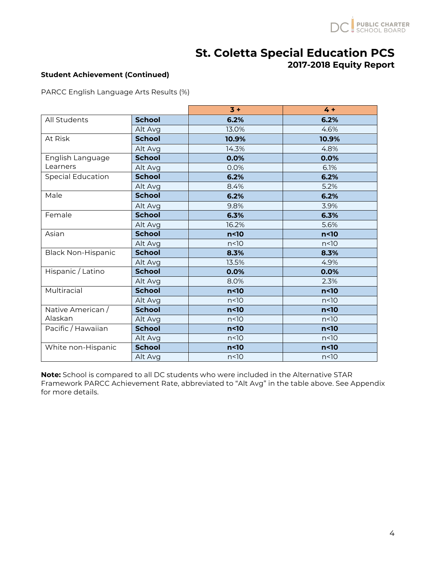

# **St. Coletta Special Education PCS**

# **2017-2018 Equity Report**

# **Student Achievement (Continued)**

PARCC English Language Arts Results (%)

|                           |               | $3 +$           | $4 +$           |
|---------------------------|---------------|-----------------|-----------------|
| All Students              | <b>School</b> | 6.2%            | 6.2%            |
|                           | Alt Avg       | 13.0%           | 4.6%            |
| At Risk                   | <b>School</b> | 10.9%           | 10.9%           |
|                           | Alt Avg       | 14.3%           | 4.8%            |
| English Language          | <b>School</b> | 0.0%            | 0.0%            |
| Learners                  | Alt Avg       | 0.0%            | 6.1%            |
| <b>Special Education</b>  | <b>School</b> | 6.2%            | 6.2%            |
|                           | Alt Avg       | 8.4%            | 5.2%            |
| Male                      | <b>School</b> | 6.2%            | 6.2%            |
|                           | Alt Avg       | 9.8%            | 3.9%            |
| Female                    | <b>School</b> | 6.3%            | 6.3%            |
|                           | Alt Avg       | 16.2%           | 5.6%            |
| Asian                     | <b>School</b> | n <sub>10</sub> | n <sub>10</sub> |
|                           | Alt Avg       | n<10            | n<10            |
| <b>Black Non-Hispanic</b> | <b>School</b> | 8.3%            | 8.3%            |
|                           | Alt Avg       | 13.5%           | 4.9%            |
| Hispanic / Latino         | <b>School</b> | 0.0%            | 0.0%            |
|                           | Alt Avg       | 8.0%            | 2.3%            |
| Multiracial               | <b>School</b> | n<10            | n <sub>10</sub> |
|                           | Alt Avg       | n<10            | n<10            |
| Native American /         | <b>School</b> | n <sub>10</sub> | n <sub>10</sub> |
| Alaskan                   | Alt Avg       | n<10            | n<10            |
| Pacific / Hawaiian        | <b>School</b> | n<10            | n<10            |
|                           | Alt Avg       | n<10            | n<10            |
| White non-Hispanic        | <b>School</b> | n<10            | n<10            |
|                           | Alt Avg       | n<10            | n<10            |

**Note:** School is compared to all DC students who were included in the Alternative STAR Framework PARCC Achievement Rate, abbreviated to "Alt Avg" in the table above. See Appendix for more details.